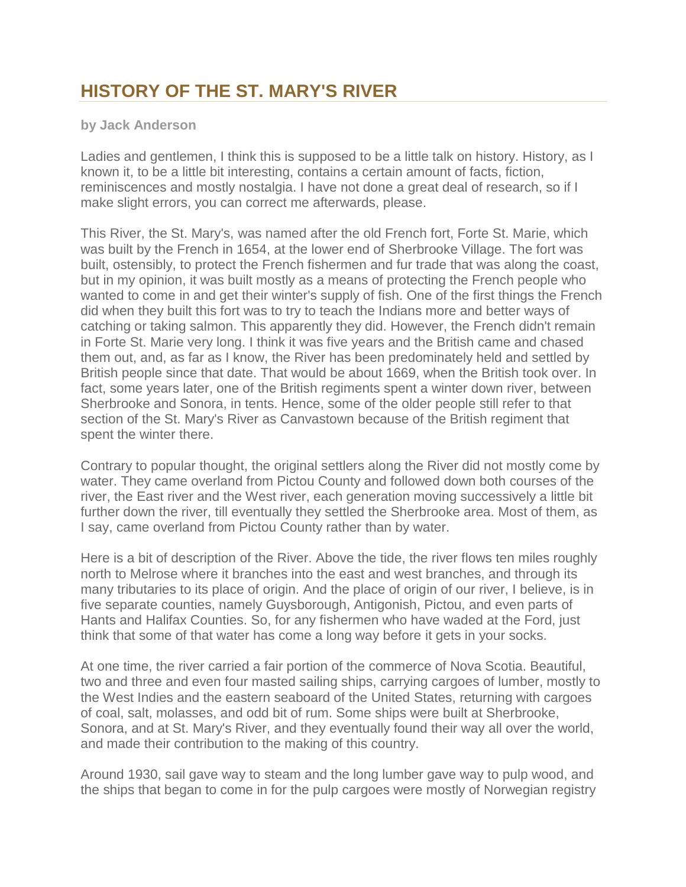## **HISTORY OF THE ST. MARY'S RIVER**

**by Jack Anderson**

Ladies and gentlemen, I think this is supposed to be a little talk on history. History, as I known it, to be a little bit interesting, contains a certain amount of facts, fiction, reminiscences and mostly nostalgia. I have not done a great deal of research, so if I make slight errors, you can correct me afterwards, please.

This River, the St. Mary's, was named after the old French fort, Forte St. Marie, which was built by the French in 1654, at the lower end of Sherbrooke Village. The fort was built, ostensibly, to protect the French fishermen and fur trade that was along the coast, but in my opinion, it was built mostly as a means of protecting the French people who wanted to come in and get their winter's supply of fish. One of the first things the French did when they built this fort was to try to teach the Indians more and better ways of catching or taking salmon. This apparently they did. However, the French didn't remain in Forte St. Marie very long. I think it was five years and the British came and chased them out, and, as far as I know, the River has been predominately held and settled by British people since that date. That would be about 1669, when the British took over. In fact, some years later, one of the British regiments spent a winter down river, between Sherbrooke and Sonora, in tents. Hence, some of the older people still refer to that section of the St. Mary's River as Canvastown because of the British regiment that spent the winter there.

Contrary to popular thought, the original settlers along the River did not mostly come by water. They came overland from Pictou County and followed down both courses of the river, the East river and the West river, each generation moving successively a little bit further down the river, till eventually they settled the Sherbrooke area. Most of them, as I say, came overland from Pictou County rather than by water.

Here is a bit of description of the River. Above the tide, the river flows ten miles roughly north to Melrose where it branches into the east and west branches, and through its many tributaries to its place of origin. And the place of origin of our river, I believe, is in five separate counties, namely Guysborough, Antigonish, Pictou, and even parts of Hants and Halifax Counties. So, for any fishermen who have waded at the Ford, just think that some of that water has come a long way before it gets in your socks.

At one time, the river carried a fair portion of the commerce of Nova Scotia. Beautiful, two and three and even four masted sailing ships, carrying cargoes of lumber, mostly to the West Indies and the eastern seaboard of the United States, returning with cargoes of coal, salt, molasses, and odd bit of rum. Some ships were built at Sherbrooke, Sonora, and at St. Mary's River, and they eventually found their way all over the world, and made their contribution to the making of this country.

Around 1930, sail gave way to steam and the long lumber gave way to pulp wood, and the ships that began to come in for the pulp cargoes were mostly of Norwegian registry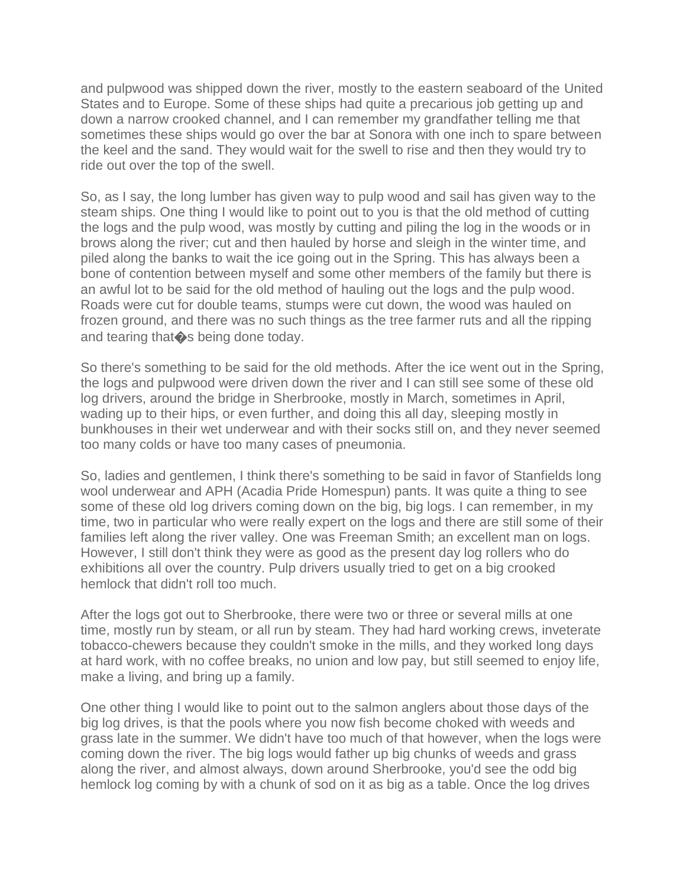and pulpwood was shipped down the river, mostly to the eastern seaboard of the United States and to Europe. Some of these ships had quite a precarious job getting up and down a narrow crooked channel, and I can remember my grandfather telling me that sometimes these ships would go over the bar at Sonora with one inch to spare between the keel and the sand. They would wait for the swell to rise and then they would try to ride out over the top of the swell.

So, as I say, the long lumber has given way to pulp wood and sail has given way to the steam ships. One thing I would like to point out to you is that the old method of cutting the logs and the pulp wood, was mostly by cutting and piling the log in the woods or in brows along the river; cut and then hauled by horse and sleigh in the winter time, and piled along the banks to wait the ice going out in the Spring. This has always been a bone of contention between myself and some other members of the family but there is an awful lot to be said for the old method of hauling out the logs and the pulp wood. Roads were cut for double teams, stumps were cut down, the wood was hauled on frozen ground, and there was no such things as the tree farmer ruts and all the ripping and tearing that  $\bullet$ s being done today.

So there's something to be said for the old methods. After the ice went out in the Spring, the logs and pulpwood were driven down the river and I can still see some of these old log drivers, around the bridge in Sherbrooke, mostly in March, sometimes in April, wading up to their hips, or even further, and doing this all day, sleeping mostly in bunkhouses in their wet underwear and with their socks still on, and they never seemed too many colds or have too many cases of pneumonia.

So, ladies and gentlemen, I think there's something to be said in favor of Stanfields long wool underwear and APH (Acadia Pride Homespun) pants. It was quite a thing to see some of these old log drivers coming down on the big, big logs. I can remember, in my time, two in particular who were really expert on the logs and there are still some of their families left along the river valley. One was Freeman Smith; an excellent man on logs. However, I still don't think they were as good as the present day log rollers who do exhibitions all over the country. Pulp drivers usually tried to get on a big crooked hemlock that didn't roll too much.

After the logs got out to Sherbrooke, there were two or three or several mills at one time, mostly run by steam, or all run by steam. They had hard working crews, inveterate tobacco-chewers because they couldn't smoke in the mills, and they worked long days at hard work, with no coffee breaks, no union and low pay, but still seemed to enjoy life, make a living, and bring up a family.

One other thing I would like to point out to the salmon anglers about those days of the big log drives, is that the pools where you now fish become choked with weeds and grass late in the summer. We didn't have too much of that however, when the logs were coming down the river. The big logs would father up big chunks of weeds and grass along the river, and almost always, down around Sherbrooke, you'd see the odd big hemlock log coming by with a chunk of sod on it as big as a table. Once the log drives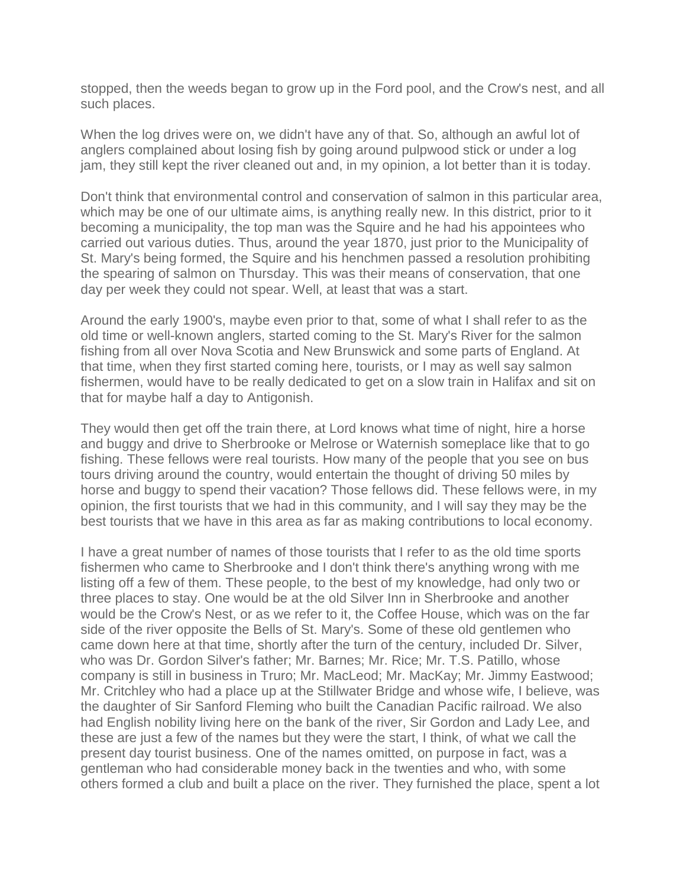stopped, then the weeds began to grow up in the Ford pool, and the Crow's nest, and all such places.

When the log drives were on, we didn't have any of that. So, although an awful lot of anglers complained about losing fish by going around pulpwood stick or under a log jam, they still kept the river cleaned out and, in my opinion, a lot better than it is today.

Don't think that environmental control and conservation of salmon in this particular area, which may be one of our ultimate aims, is anything really new. In this district, prior to it becoming a municipality, the top man was the Squire and he had his appointees who carried out various duties. Thus, around the year 1870, just prior to the Municipality of St. Mary's being formed, the Squire and his henchmen passed a resolution prohibiting the spearing of salmon on Thursday. This was their means of conservation, that one day per week they could not spear. Well, at least that was a start.

Around the early 1900's, maybe even prior to that, some of what I shall refer to as the old time or well-known anglers, started coming to the St. Mary's River for the salmon fishing from all over Nova Scotia and New Brunswick and some parts of England. At that time, when they first started coming here, tourists, or I may as well say salmon fishermen, would have to be really dedicated to get on a slow train in Halifax and sit on that for maybe half a day to Antigonish.

They would then get off the train there, at Lord knows what time of night, hire a horse and buggy and drive to Sherbrooke or Melrose or Waternish someplace like that to go fishing. These fellows were real tourists. How many of the people that you see on bus tours driving around the country, would entertain the thought of driving 50 miles by horse and buggy to spend their vacation? Those fellows did. These fellows were, in my opinion, the first tourists that we had in this community, and I will say they may be the best tourists that we have in this area as far as making contributions to local economy.

I have a great number of names of those tourists that I refer to as the old time sports fishermen who came to Sherbrooke and I don't think there's anything wrong with me listing off a few of them. These people, to the best of my knowledge, had only two or three places to stay. One would be at the old Silver Inn in Sherbrooke and another would be the Crow's Nest, or as we refer to it, the Coffee House, which was on the far side of the river opposite the Bells of St. Mary's. Some of these old gentlemen who came down here at that time, shortly after the turn of the century, included Dr. Silver, who was Dr. Gordon Silver's father; Mr. Barnes; Mr. Rice; Mr. T.S. Patillo, whose company is still in business in Truro; Mr. MacLeod; Mr. MacKay; Mr. Jimmy Eastwood; Mr. Critchley who had a place up at the Stillwater Bridge and whose wife, I believe, was the daughter of Sir Sanford Fleming who built the Canadian Pacific railroad. We also had English nobility living here on the bank of the river, Sir Gordon and Lady Lee, and these are just a few of the names but they were the start, I think, of what we call the present day tourist business. One of the names omitted, on purpose in fact, was a gentleman who had considerable money back in the twenties and who, with some others formed a club and built a place on the river. They furnished the place, spent a lot